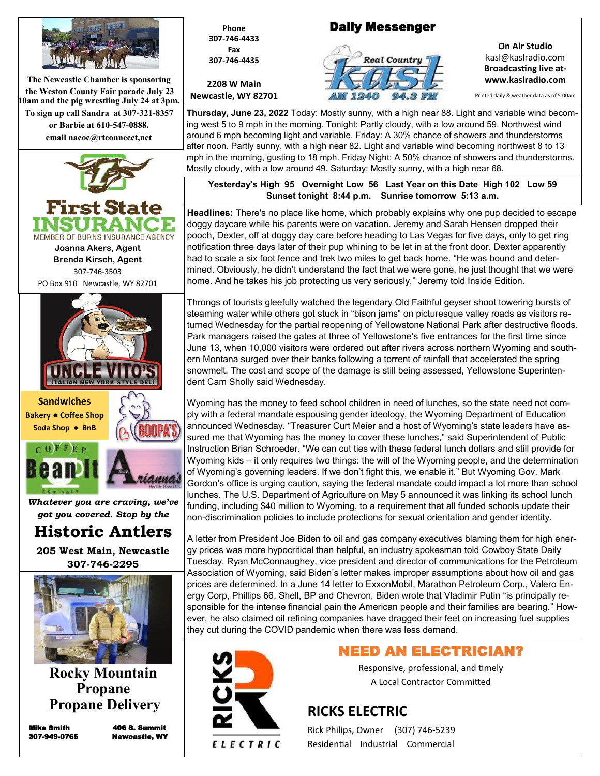

**The Newcastle Chamber is sponsoring the Weston County Fair parade July 23 10am and the pig wrestling July 24 at 3pm. To sign up call Sandra at 307-321-8357 or Barbie at 610-547-0888. email nacoc@rtconnecct,net**





*Whatever you are craving, we've got you covered. Stop by the* 

**Historic Antlers** 

**205 West Main, Newcastle 307-746-2295**



**Rocky Mountain Propane Propane Delivery**

Mike Smith 406 S. Summit 307-949-0765 Newcastle, WY



**2208 W Main Newcastle, WY 82701**

## Daily Messenger



**On Air Studio** kasl@kaslradio.com **Broadcasting live atwww.kaslradio.com**

Printed daily & weather data as of 5:00am

**Thursday, June 23, 2022** Today: Mostly sunny, with a high near 88. Light and variable wind becoming west 5 to 9 mph in the morning. Tonight: Partly cloudy, with a low around 59. Northwest wind around 6 mph becoming light and variable. Friday: A 30% chance of showers and thunderstorms after noon. Partly sunny, with a high near 82. Light and variable wind becoming northwest 8 to 13 mph in the morning, gusting to 18 mph. Friday Night: A 50% chance of showers and thunderstorms. Mostly cloudy, with a low around 49. Saturday: Mostly sunny, with a high near 68.

**Yesterday's High 95 Overnight Low 56 Last Year on this Date High 102 Low 59 Sunset tonight 8:44 p.m. Sunrise tomorrow 5:13 a.m.** 

**Headlines:** There's no place like home, which probably explains why one pup decided to escape doggy daycare while his parents were on vacation. Jeremy and Sarah Hensen dropped their pooch, Dexter, off at doggy day care before heading to Las Vegas for five days, only to get ring notification three days later of their pup whining to be let in at the front door. Dexter apparently had to scale a six foot fence and trek two miles to get back home. "He was bound and determined. Obviously, he didn't understand the fact that we were gone, he just thought that we were home. And he takes his job protecting us very seriously," Jeremy told Inside Edition.

Throngs of tourists gleefully watched the legendary Old Faithful geyser shoot towering bursts of steaming water while others got stuck in "bison jams" on picturesque valley roads as visitors returned Wednesday for the partial reopening of Yellowstone National Park after destructive floods. Park managers raised the gates at three of Yellowstone's five entrances for the first time since June 13, when 10,000 visitors were ordered out after rivers across northern Wyoming and southern Montana surged over their banks following a torrent of rainfall that accelerated the spring snowmelt. The cost and scope of the damage is still being assessed, Yellowstone Superintendent Cam Sholly said Wednesday.

Wyoming has the money to feed school children in need of lunches, so the state need not comply with a federal mandate espousing gender ideology, the Wyoming Department of Education announced Wednesday. "Treasurer Curt Meier and a host of Wyoming's state leaders have assured me that Wyoming has the money to cover these lunches," said Superintendent of Public Instruction Brian Schroeder. "We can cut ties with these federal lunch dollars and still provide for Wyoming kids – it only requires two things: the will of the Wyoming people, and the determination of Wyoming's governing leaders. If we don't fight this, we enable it." But Wyoming Gov. Mark Gordon's office is urging caution, saying the federal mandate could impact a lot more than school lunches. The U.S. Department of Agriculture on May 5 announced it was linking its school lunch funding, including \$40 million to Wyoming, to a requirement that all funded schools update their non-discrimination policies to include protections for sexual orientation and gender identity.

A letter from President Joe Biden to oil and gas company executives blaming them for high energy prices was more hypocritical than helpful, an industry spokesman told Cowboy State Daily Tuesday. Ryan McConnaughey, vice president and director of communications for the Petroleum Association of Wyoming, said Biden's letter makes improper assumptions about how oil and gas prices are determined. In a June 14 letter to ExxonMobil, Marathon Petroleum Corp., Valero Energy Corp, Phillips 66, Shell, BP and Chevron, Biden wrote that Vladimir Putin "is principally responsible for the intense financial pain the American people and their families are bearing." However, he also claimed oil refining companies have dragged their feet on increasing fuel supplies they cut during the COVID pandemic when there was less demand.



## NEED AN ELECTRICIAN?

Responsive, professional, and timely A Local Contractor Committed

## **RICKS ELECTRIC**

Rick Philips, Owner (307) 746-5239 Residential Industrial Commercial